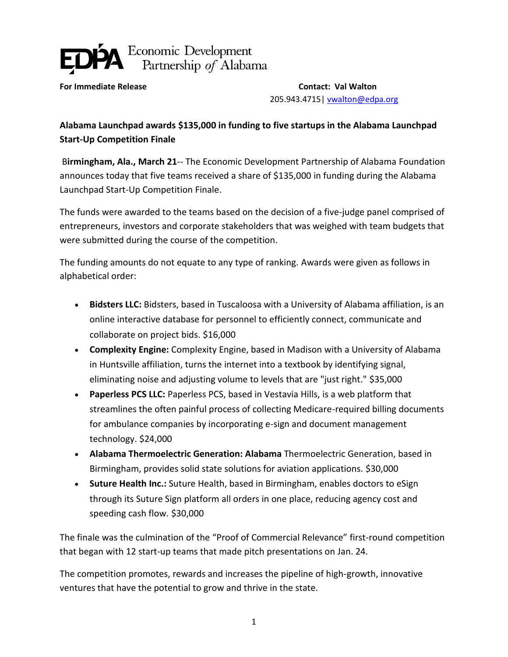

**For Immediate Release Contact: Val Walton** 205.943.4715| [vwalton@edpa.org](mailto:vwalton@edpa.org)

## **Alabama Launchpad awards \$135,000 in funding to five startups in the Alabama Launchpad Start-Up Competition Finale**

B**irmingham, Ala., March 21**-- The Economic Development Partnership of Alabama Foundation announces today that five teams received a share of \$135,000 in funding during the Alabama Launchpad Start-Up Competition Finale.

The funds were awarded to the teams based on the decision of a five-judge panel comprised of entrepreneurs, investors and corporate stakeholders that was weighed with team budgets that were submitted during the course of the competition.

The funding amounts do not equate to any type of ranking. Awards were given as follows in alphabetical order:

- **Bidsters LLC:** Bidsters, based in Tuscaloosa with a University of Alabama affiliation, is an online interactive database for personnel to efficiently connect, communicate and collaborate on project bids. \$16,000
- **Complexity Engine:** Complexity Engine, based in Madison with a University of Alabama in Huntsville affiliation, turns the internet into a textbook by identifying signal, eliminating noise and adjusting volume to levels that are "just right." \$35,000
- **Paperless PCS LLC:** Paperless PCS, based in Vestavia Hills, is a web platform that streamlines the often painful process of collecting Medicare-required billing documents for ambulance companies by incorporating e-sign and document management technology. \$24,000
- **Alabama Thermoelectric Generation: Alabama** Thermoelectric Generation, based in Birmingham, provides solid state solutions for aviation applications. \$30,000
- **Suture Health Inc.:** Suture Health, based in Birmingham, enables doctors to eSign through its Suture Sign platform all orders in one place, reducing agency cost and speeding cash flow. \$30,000

The finale was the culmination of the "Proof of Commercial Relevance" first-round competition that began with 12 start-up teams that made pitch presentations on Jan. 24.

The competition promotes, rewards and increases the pipeline of high-growth, innovative ventures that have the potential to grow and thrive in the state.